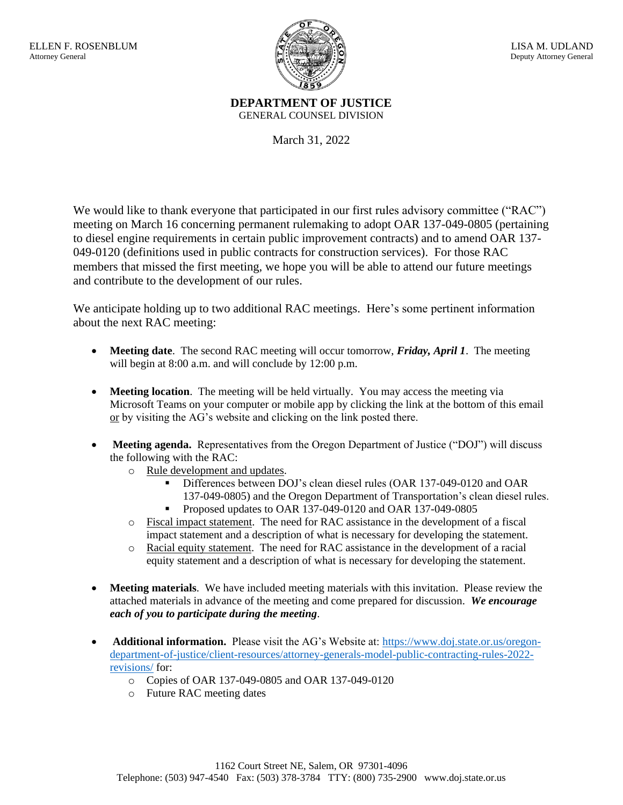

**DEPARTMENT OF JUSTICE** GENERAL COUNSEL DIVISION

March 31, 2022

We would like to thank everyone that participated in our first rules advisory committee ("RAC") meeting on March 16 concerning permanent rulemaking to adopt OAR 137-049-0805 (pertaining to diesel engine requirements in certain public improvement contracts) and to amend OAR 137- 049-0120 (definitions used in public contracts for construction services). For those RAC members that missed the first meeting, we hope you will be able to attend our future meetings and contribute to the development of our rules.

We anticipate holding up to two additional RAC meetings. Here's some pertinent information about the next RAC meeting:

- **Meeting date**. The second RAC meeting will occur tomorrow, *Friday, April 1*. The meeting will begin at 8:00 a.m. and will conclude by 12:00 p.m.
- **Meeting location**. The meeting will be held virtually. You may access the meeting via Microsoft Teams on your computer or mobile app by clicking the link at the bottom of this email or by visiting the AG's website and clicking on the link posted there.
- **Meeting agenda.** Representatives from the Oregon Department of Justice ("DOJ") will discuss the following with the RAC:
	- o Rule development and updates.
		- Differences between DOJ's clean diesel rules (OAR 137-049-0120 and OAR 137-049-0805) and the Oregon Department of Transportation's clean diesel rules.
		- Proposed updates to OAR 137-049-0120 and OAR 137-049-0805
	- o Fiscal impact statement. The need for RAC assistance in the development of a fiscal impact statement and a description of what is necessary for developing the statement.
	- o Racial equity statement. The need for RAC assistance in the development of a racial equity statement and a description of what is necessary for developing the statement.
- **Meeting materials**. We have included meeting materials with this invitation. Please review the attached materials in advance of the meeting and come prepared for discussion. *We encourage each of you to participate during the meeting*.
- **Additional information.** Please visit the AG's Website at: [https://www.doj.state.or.us/oregon](https://www.doj.state.or.us/oregon-department-of-justice/client-resources/attorney-generals-model-public-contracting-rules-2022-revisions/)[department-of-justice/client-resources/attorney-generals-model-public-contracting-rules-2022](https://www.doj.state.or.us/oregon-department-of-justice/client-resources/attorney-generals-model-public-contracting-rules-2022-revisions/) [revisions/](https://www.doj.state.or.us/oregon-department-of-justice/client-resources/attorney-generals-model-public-contracting-rules-2022-revisions/) for:
	- o Copies of OAR 137-049-0805 and OAR 137-049-0120
	- o Future RAC meeting dates